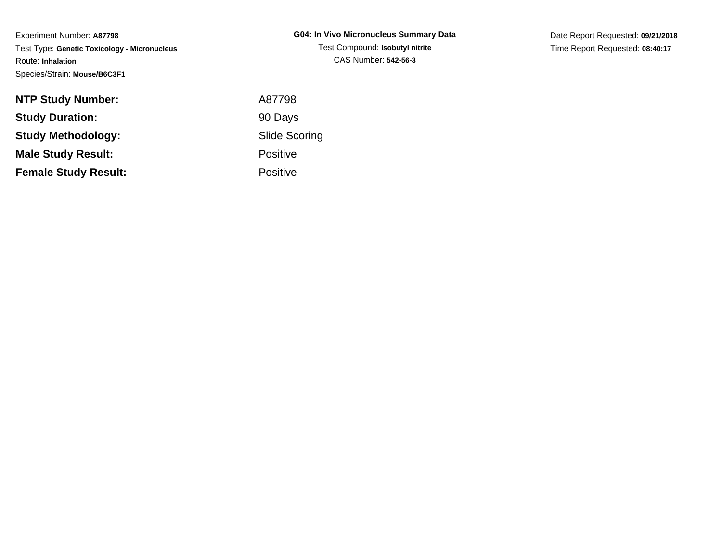Experiment Number: **A87798** Test Type: **Genetic Toxicology - Micronucleus**Route: **Inhalation**Species/Strain: **Mouse/B6C3F1**

Date Report Requested: **09/21/2018**Time Report Requested: **08:40:17**

| <b>NTP Study Number:</b>    | A87798               |
|-----------------------------|----------------------|
| <b>Study Duration:</b>      | 90 Days              |
| <b>Study Methodology:</b>   | <b>Slide Scoring</b> |
| <b>Male Study Result:</b>   | <b>Positive</b>      |
| <b>Female Study Result:</b> | <b>Positive</b>      |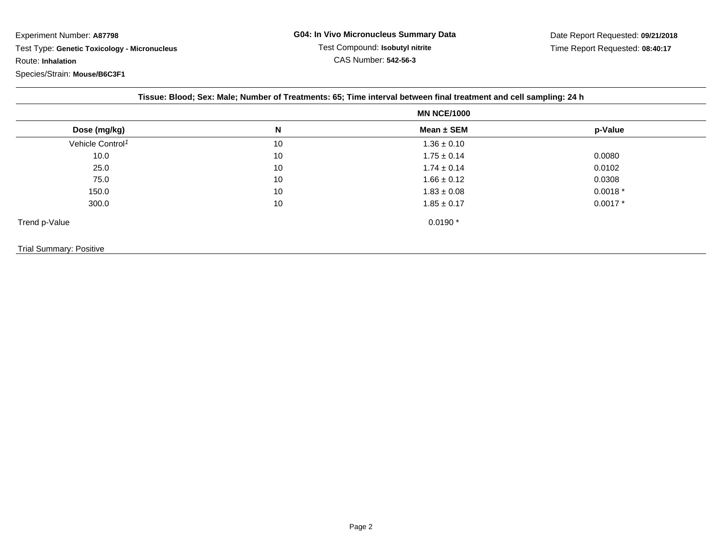Experiment Number: **A87798** Test Type: **Genetic Toxicology - Micronucleus**Route: **Inhalation**Species/Strain: **Mouse/B6C3F1**

|                              | <b>MN NCE/1000</b> |                 |           |
|------------------------------|--------------------|-----------------|-----------|
| Dose (mg/kg)                 | N                  | Mean ± SEM      | p-Value   |
| Vehicle Control <sup>1</sup> | 10                 | $1.36 \pm 0.10$ |           |
| 10.0                         | 10                 | $1.75 \pm 0.14$ | 0.0080    |
| 25.0                         | 10                 | $1.74 \pm 0.14$ | 0.0102    |
| 75.0                         | 10                 | $1.66 \pm 0.12$ | 0.0308    |
| 150.0                        | 10                 | $1.83 \pm 0.08$ | $0.0018*$ |
| 300.0                        | 10                 | $1.85 \pm 0.17$ | $0.0017*$ |
| Trend p-Value                |                    | $0.0190*$       |           |

Trial Summary: Positive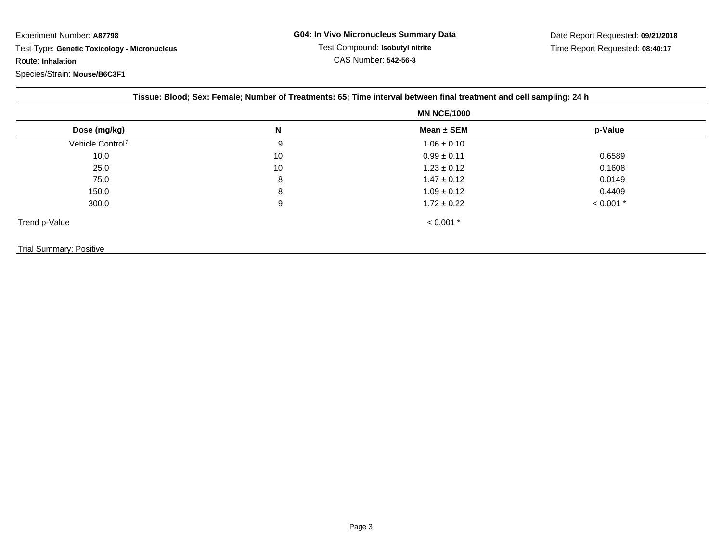Experiment Number: **A87798** Test Type: **Genetic Toxicology - Micronucleus**Route: **Inhalation**

| Dose (mg/kg)                 | N  | Mean $\pm$ SEM  | p-Value     |
|------------------------------|----|-----------------|-------------|
| Vehicle Control <sup>1</sup> | 9  | $1.06 \pm 0.10$ |             |
| 10.0                         | 10 | $0.99 \pm 0.11$ | 0.6589      |
| 25.0                         | 10 | $1.23 \pm 0.12$ | 0.1608      |
| 75.0                         | 8  | $1.47 \pm 0.12$ | 0.0149      |
| 150.0                        | 8  | $1.09 \pm 0.12$ | 0.4409      |
| 300.0                        | 9  | $1.72 \pm 0.22$ | $< 0.001$ * |
| Trend p-Value                |    | $< 0.001$ *     |             |